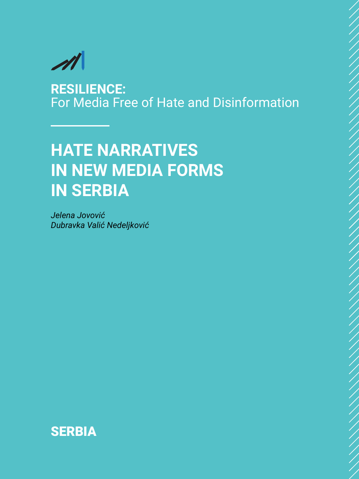

**RESILIENCE:** For Media Free of Hate and Disinformation

# **HATE NARRATIVES IN NEW MEDIA FORMS IN SERBIA**

*Jelena Jovović Dubravka Valić Nedeljković*

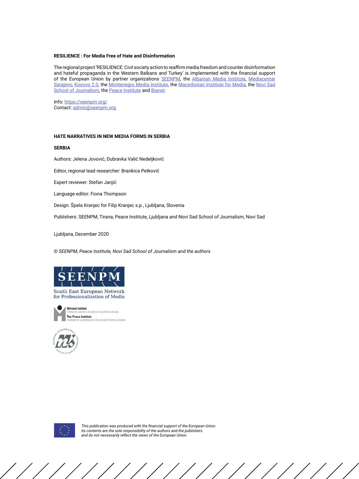#### **RESILIENCE : For Media Free of Hate and Disinformation**

The regional project 'RESILIENCE: Civil society action to reaffirm media freedom and counter disinformation and hateful propaganda in the Western Balkans and Turkey' is implemented with the financial support of the European Union by partner organizations [SEENPM](https://seenpm.org/), the [Albanian Media Institute](http://www.institutemedia.org/), [Mediacentar](https://www.media.ba/bs) [Sarajevo](https://www.media.ba/bs), [Kosovo 2.0](https://kosovotwopointzero.com/en/), the [Montenegro Media Institute](https://www.mminstitute.org/), the [Macedonian Institute for Media](https://mim.org.mk/en/), the [Novi Sad](https://www.novinarska-skola.org.rs/sr/?lang=en) [School of Journalism](https://www.novinarska-skola.org.rs/sr/?lang=en), the [Peace Institute](https://www.mirovni-institut.si/en/) and [Bianet](http://bianet.org/english).

Info: <https://seenpm.org/> Contact: [admin@seenpm.org](mailto:admin%40seenpm.org?subject=)

#### **HATE NARRATIVES IN NEW MEDIA FORMS IN SERBIA**

#### **SERBIA**

Authors: Jelena Jovović, Dubravka Valić Nedeljković

Editor, regional lead researcher: Brankica Petković

Expert reviewer: Stefan Janjić

Language editor: Fiona Thompson

Design: Špela Kranjec for Filip Kranjec s.p., Ljubljana, Slovenia

Publishers: SEENPM, Tirana, Peace Institute, Ljubljana and Novi Sad School of Journalism, Novi Sad

Ljubljana, December 2020

© *SEENPM, Peace Institute, Novi Sad School of Journalism and the authors*



South East European Network for Professionalization of Media







*This publication was produced with the financial support of the European Union. Its contents are the sole responsibility of the authors and the publishers and do not necessarily reflect the views of the European Union.*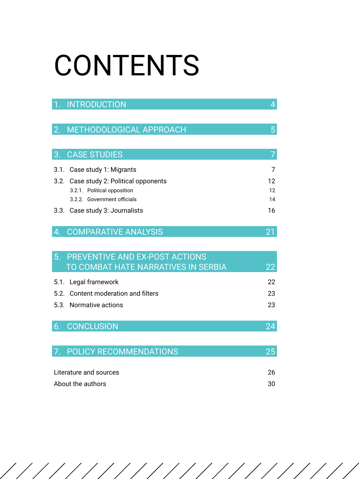# CONTENTS

|    | 1. INTRODUCTION                        | 4  |
|----|----------------------------------------|----|
| 2. | METHODOLOGICAL APPROACH                | 5  |
|    |                                        |    |
| 3. | <b>CASE STUDIES</b>                    |    |
|    | 3.1. Case study 1: Migrants            | 7  |
|    | 3.2. Case study 2: Political opponents | 12 |
|    | 3.2.1. Political opposition            | 12 |
|    | 3.2.2. Government officials            | 14 |
|    | 3.3. Case study 3: Journalists         | 16 |
|    |                                        |    |
| 4. | <b>COMPARATIVE ANALYSIS</b>            |    |

| 5. PREVENTIVE AND EX-POST ACTIONS   |    |
|-------------------------------------|----|
| TO COMBAT HATE NARRATIVES IN SERBIA | 22 |
| 5.1. Legal framework                | 22 |
| 5.2. Content moderation and filters | 23 |
| 5.3. Normative actions              | 23 |
|                                     |    |
| 6. CONCLUSION                       |    |

| 7. POLICY RECOMMENDATIONS |    |
|---------------------------|----|
|                           |    |
| Literature and sources    | 26 |

| About the authors | 30 |
|-------------------|----|

///////////////////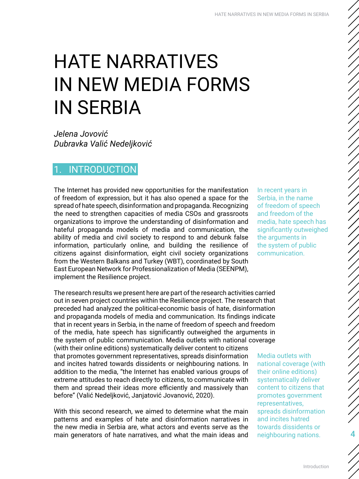# <span id="page-3-0"></span>HATE NARRATIVES IN NEW MEDIA FORMS IN SERBIA

*Jelena Jovović Dubravka Valić Nedeljković*

# **INTRODUCTION**

The Internet has provided new opportunities for the manifestation of freedom of expression, but it has also opened a space for the spread of hate speech, disinformation and propaganda. Recognizing the need to strengthen capacities of media CSOs and grassroots organizations to improve the understanding of disinformation and hateful propaganda models of media and communication, the ability of media and civil society to respond to and debunk false information, particularly online, and building the resilience of citizens against disinformation, eight civil society organizations from the Western Balkans and Turkey (WBT), coordinated by South East European Network for Professionalization of Media (SEENPM), implement the Resilience project.

The research results we present here are part of the research activities carried out in seven project countries within the Resilience project. The research that preceded had analyzed the political-economic basis of hate, disinformation and propaganda models of media and communication. Its findings indicate that in recent years in Serbia, in the name of freedom of speech and freedom of the media, hate speech has significantly outweighed the arguments in the system of public communication. Media outlets with national coverage (with their online editions) systematically deliver content to citizens that promotes government representatives, spreads disinformation and incites hatred towards dissidents or neighbouring nations. In addition to the media, "the Internet has enabled various groups of extreme attitudes to reach directly to citizens, to communicate with them and spread their ideas more efficiently and massively than before" (Valić Nedeljković, Janjatović Jovanović, 2020).

With this second research, we aimed to determine what the main patterns and examples of hate and disinformation narratives in the new media in Serbia are, what actors and events serve as the main generators of hate narratives, and what the main ideas and In recent years in Serbia, in the name of freedom of speech and freedom of the media, hate speech has significantly outweighed the arguments in the system of public communication.

ノノノノノノノノノノノノノノ

//////////

Media outlets with national coverage (with their online editions) systematically deliver content to citizens that promotes government representatives, spreads disinformation and incites hatred towards dissidents or neighbouring nations. 4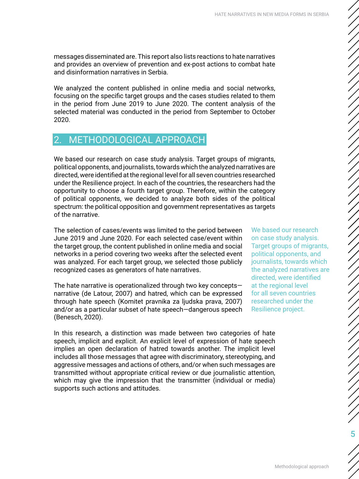<span id="page-4-0"></span>messages disseminated are. This report also lists reactions to hate narratives and provides an overview of prevention and ex-post actions to combat hate and disinformation narratives in Serbia.

We analyzed the content published in online media and social networks, focusing on the specific target groups and the cases studies related to them in the period from June 2019 to June 2020. The content analysis of the selected material was conducted in the period from September to October 2020.

# 2. METHODOLOGICAL APPROACH

We based our research on case study analysis. Target groups of migrants, political opponents, and journalists, towards which the analyzed narratives are directed, were identified at the regional level for all seven countries researched under the Resilience project. In each of the countries, the researchers had the opportunity to choose a fourth target group. Therefore, within the category of political opponents, we decided to analyze both sides of the political spectrum: the political opposition and government representatives as targets of the narrative.

The selection of cases/events was limited to the period between June 2019 and June 2020. For each selected case/event within the target group, the content published in online media and social networks in a period covering two weeks after the selected event was analyzed. For each target group, we selected those publicly recognized cases as generators of hate narratives.

The hate narrative is operationalized through two key concepts narrative (de Latour, 2007) and hatred, which can be expressed through hate speech (Komitet pravnika za ljudska prava, 2007) and/or as a particular subset of hate speech—dangerous speech (Benesch, 2020).

We based our research on case study analysis. Target groups of migrants, political opponents, and journalists, towards which the analyzed narratives are directed, were identified at the regional level for all seven countries researched under the Resilience project.

In this research, a distinction was made between two categories of hate speech, implicit and explicit. An explicit level of expression of hate speech implies an open declaration of hatred towards another. The implicit level includes all those messages that agree with discriminatory, stereotyping, and aggressive messages and actions of others, and/or when such messages are transmitted without appropriate critical review or due journalistic attention, which may give the impression that the transmitter (individual or media) supports such actions and attitudes.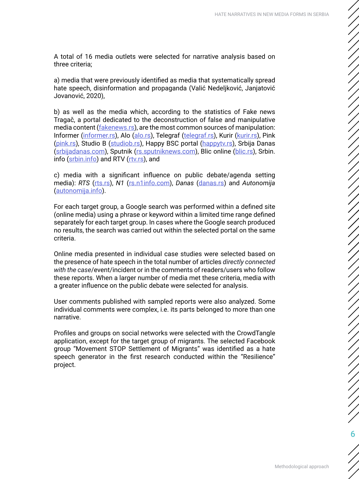A total of 16 media outlets were selected for narrative analysis based on three criteria;

a) media that were previously identified as media that systematically spread hate speech, disinformation and propaganda (Valić Nedeljković, Janjatović Jovanović, 2020),

b) as well as the media which, according to the statistics of Fake news Tragač, a portal dedicated to the deconstruction of false and manipulative media content (*fakenews.rs*), are the most common sources of manipulation: Informer ([informer.rs](http://informer.rs)), Alo ([alo.rs\)](http://alo.rs), Telegraf [\(telegraf.rs](http://telegraf.rs)), Kurir [\(kurir.rs\)](http://kurir.rs), Pink ([pink.rs\)](http://pink.rs), Studio B ([studiob.rs\)](http://studiob.rs), Happy BSC portal ([happytv.rs](http://happytv.rs)), Srbija Danas ([srbijadanas.com](http://srbijadanas.com)), Sputnik ([rs.sputniknews.com](http://rs.sputniknews.com)), Blic online [\(blic.rs\)](http://blic.rs), Srbin. info ([srbin.info](http://srbin.info)) and RTV ([rtv.rs\)](http://rtv.rs), and

c) media with a significant influence on public debate/agenda setting media): *RTS* [\(rts.rs\)](http://rts.rs), *N1* ([rs.n1info.com\)](http://rs.n1info.com), *Danas* [\(danas.rs](http://danas.rs)) and *Autonomija* ([autonomija.info](http://autonomija.info)).

For each target group, a Google search was performed within a defined site (online media) using a phrase or keyword within a limited time range defined separately for each target group. In cases where the Google search produced no results, the search was carried out within the selected portal on the same criteria.

Online media presented in individual case studies were selected based on the presence of hate speech in the total number of articles *directly connected with the case*/event/incident or in the comments of readers/users who follow these reports. When a larger number of media met these criteria, media with a greater influence on the public debate were selected for analysis.

User comments published with sampled reports were also analyzed. Some individual comments were complex, i.e. its parts belonged to more than one narrative.

Profiles and groups on social networks were selected with the CrowdTangle application, except for the target group of migrants. The selected Facebook group "Movement STOP Settlement of Migrants" was identified as a hate speech generator in the first research conducted within the "Resilience" project.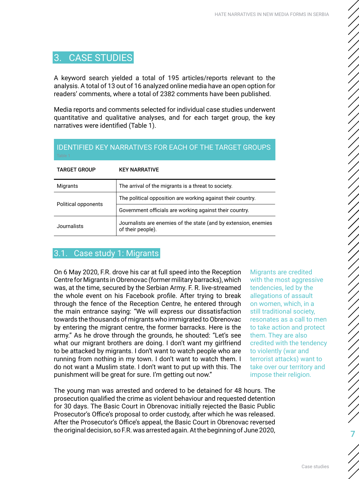# <span id="page-6-0"></span>3. CASE STUDIES

A keyword search yielded a total of 195 articles/reports relevant to the analysis. A total of 13 out of 16 analyzed online media have an open option for readers' comments, where a total of 2382 comments have been published.

Media reports and comments selected for individual case studies underwent quantitative and qualitative analyses, and for each target group, the key narratives were identified (Table 1).

| Table.              |                                                                                      |
|---------------------|--------------------------------------------------------------------------------------|
| <b>TARGET GROUP</b> | <b>KEY NARRATIVE</b>                                                                 |
| Migrants            | The arrival of the migrants is a threat to society.                                  |
|                     | The political opposition are working against their country.                          |
| Political opponents | Government officials are working against their country.                              |
| Journalists         | Journalists are enemies of the state (and by extension, enemies<br>of their people). |

# IDENTIFIED KEY NARRATIVES FOR EACH OF THE TARGET GROUPS

### 3.1. Case study 1: Migrants

On 6 May 2020, F.R. drove his car at full speed into the Reception Centre for Migrants in Obrenovac (former military barracks), which was, at the time, secured by the Serbian Army. F. R. live-streamed the whole event on his Facebook profile. After trying to break through the fence of the Reception Centre, he entered through the main entrance saying: "We will express our dissatisfaction towards the thousands of migrants who immigrated to Obrenovac by entering the migrant centre, the former barracks. Here is the army." As he drove through the grounds, he shouted: "Let's see what our migrant brothers are doing. I don't want my girlfriend to be attacked by migrants. I don't want to watch people who are running from nothing in my town. I don't want to watch them. I do not want a Muslim state. I don't want to put up with this. The punishment will be great for sure. I'm getting out now."

The young man was arrested and ordered to be detained for 48 hours. The prosecution qualified the crime as violent behaviour and requested detention for 30 days. The Basic Court in Obrenovac initially rejected the Basic Public Prosecutor's Office's proposal to order custody, after which he was released. After the Prosecutor's Office's appeal, the Basic Court in Obrenovac reversed the original decision, so F.R. was arrested again. At the beginning of June 2020,

Migrants are credited with the most aggressive tendencies, led by the allegations of assault on women, which, in a still traditional society, resonates as a call to men to take action and protect them. They are also credited with the tendency to violently (war and terrorist attacks) want to take over our territory and impose their religion.

7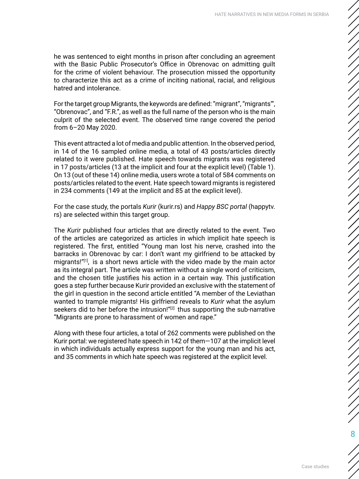he was sentenced to eight months in prison after concluding an agreement with the Basic Public Prosecutor's Office in Obrenovac on admitting guilt for the crime of violent behaviour. The prosecution missed the opportunity to characterize this act as a crime of inciting national, racial, and religious hatred and intolerance.

For the target group Migrants, the keywords are defined: "migrant", "migrants'", "Obrenovac", and "F.R.", as well as the full name of the person who is the main culprit of the selected event. The observed time range covered the period from 6–20 May 2020.

This event attracted a lot of media and public attention. In the observed period, in 14 of the 16 sampled online media, a total of 43 posts/articles directly related to it were published. Hate speech towards migrants was registered in 17 posts/articles (13 at the implicit and four at the explicit level) (Table 1). On 13 (out of these 14) online media, users wrote a total of 584 comments on posts/articles related to the event. Hate speech toward migrants is registered in 234 comments (149 at the implicit and 85 at the explicit level).

For the case study, the portals *Kurir* (kurir.rs) and *Happy BSC portal* (happytv. rs) are selected within this target group.

The *Kurir* published four articles that are directly related to the event. Two of the articles are categorized as articles in which implicit hate speech is registered. The first, entitled "Young man lost his nerve, crashed into the barracks in Obrenovac by car: I don't want my girlfriend to be attacked by migrants!"[1], is a short news article with the video made by the main actor as its integral part. The article was written without a single word of criticism, and the chosen title justifies his action in a certain way. This justification goes a step further because Kurir provided an exclusive with the statement of the girl in question in the second article entitled "A member of the Leviathan wanted to trample migrants! His girlfriend reveals to *Kurir* what the asylum seekers did to her before the intrusion!"<sup>[2]</sup> thus supporting the sub-narrative "Migrants are prone to harassment of women and rape."

Along with these four articles, a total of 262 comments were published on the Kurir portal: we registered hate speech in 142 of them—107 at the implicit level in which individuals actually express support for the young man and his act, and 35 comments in which hate speech was registered at the explicit level.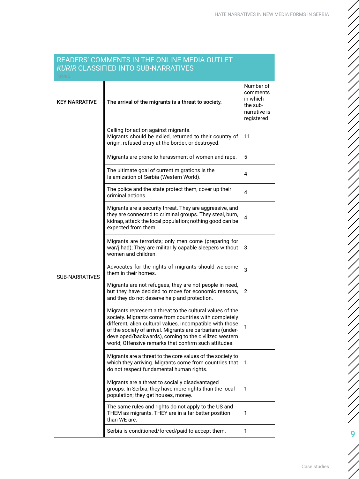#### READERS' COMMENTS IN THE ONLINE MEDIA OUTLET *KURIR* CLASSIFIED INTO SUB-NARRATIVES

| `able :               |                                                                                                                                                                                                                                                                                                                                                                 |                                                                             |
|-----------------------|-----------------------------------------------------------------------------------------------------------------------------------------------------------------------------------------------------------------------------------------------------------------------------------------------------------------------------------------------------------------|-----------------------------------------------------------------------------|
| <b>KEY NARRATIVE</b>  | The arrival of the migrants is a threat to society.                                                                                                                                                                                                                                                                                                             | Number of<br>comments<br>in which<br>the sub-<br>narrative is<br>registered |
|                       | Calling for action against migrants.<br>Migrants should be exiled, returned to their country of<br>origin, refused entry at the border, or destroyed.                                                                                                                                                                                                           | 11                                                                          |
|                       | Migrants are prone to harassment of women and rape.                                                                                                                                                                                                                                                                                                             | 5                                                                           |
|                       | The ultimate goal of current migrations is the<br>Islamization of Serbia (Western World).                                                                                                                                                                                                                                                                       | 4                                                                           |
|                       | The police and the state protect them, cover up their<br>criminal actions.                                                                                                                                                                                                                                                                                      | 4                                                                           |
|                       | Migrants are a security threat. They are aggressive, and<br>they are connected to criminal groups. They steal, burn,<br>kidnap, attack the local population; nothing good can be<br>expected from them.                                                                                                                                                         | 4                                                                           |
|                       | Migrants are terrorists; only men come (preparing for<br>war/jihad); They are militarily capable sleepers without<br>women and children.                                                                                                                                                                                                                        | 3                                                                           |
| <b>SUB-NARRATIVES</b> | Advocates for the rights of migrants should welcome<br>them in their homes.                                                                                                                                                                                                                                                                                     | 3                                                                           |
|                       | Migrants are not refugees, they are not people in need,<br>but they have decided to move for economic reasons,<br>and they do not deserve help and protection.                                                                                                                                                                                                  | 2                                                                           |
|                       | Migrants represent a threat to the cultural values of the<br>society. Migrants come from countries with completely<br>different, alien cultural values, incompatible with those<br>of the society of arrival. Migrants are barbarians (under-<br>developed/backwards), coming to the civilized western<br>world; Offensive remarks that confirm such attitudes. | 1                                                                           |
|                       | Migrants are a threat to the core values of the society to<br>which they arriving. Migrants come from countries that<br>do not respect fundamental human rights.                                                                                                                                                                                                | 1                                                                           |
|                       | Migrants are a threat to socially disadvantaged<br>groups. In Serbia, they have more rights than the local<br>population; they get houses, money.                                                                                                                                                                                                               | 1                                                                           |
|                       | The same rules and rights do not apply to the US and<br>THEM as migrants. THEY are in a far better position<br>than WE are.                                                                                                                                                                                                                                     | 1                                                                           |
|                       | Serbia is conditioned/forced/paid to accept them.                                                                                                                                                                                                                                                                                                               | 1                                                                           |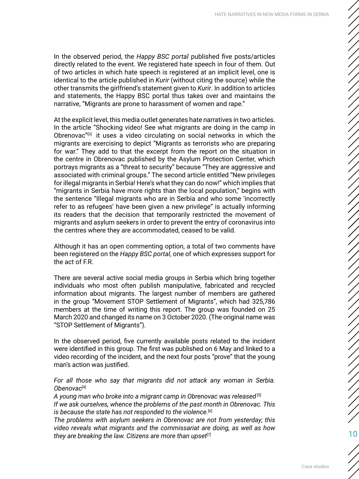In the observed period, the *Happy BSC portal* published five posts/articles directly related to the event. We registered hate speech in four of them. Out of two articles in which hate speech is registered at an implicit level, one is identical to the article published in *Kurir* (without citing the source) while the other transmits the girlfriend's statement given to *Kurir*. In addition to articles and statements, the Happy BSC portal thus takes over and maintains the narrative, "Migrants are prone to harassment of women and rape."

At the explicit level, this media outlet generates hate narratives in two articles. In the article "Shocking video! See what migrants are doing in the camp in Obrenovac"<sup>[3]</sup> it uses a video circulating on social networks in which the migrants are exercising to depict "Migrants as terrorists who are preparing for war." They add to that the excerpt from the report on the situation in the centre in Obrenovac published by the Asylum Protection Center, which portrays migrants as a "threat to security" because "They are aggressive and associated with criminal groups." The second article entitled "New privileges for illegal migrants in Serbia! Here's what they can do now!" which implies that "migrants in Serbia have more rights than the local population," begins with the sentence "Illegal migrants who are in Serbia and who some 'incorrectly refer to as refugees' have been given a new privilege" is actually informing its readers that the decision that temporarily restricted the movement of migrants and asylum seekers in order to prevent the entry of coronavirus into the centres where they are accommodated, ceased to be valid.

Although it has an open commenting option, a total of two comments have been registered on the *Happy BSC portal*, one of which expresses support for the act of F.R.

There are several active social media groups in Serbia which bring together individuals who most often publish manipulative, fabricated and recycled information about migrants. The largest number of members are gathered in the group "Movement STOP Settlement of Migrants", which had 325,786 members at the time of writing this report. The group was founded on 25 March 2020 and changed its name on 3 October 2020. (The original name was "STOP Settlement of Migrants").

In the observed period, five currently available posts related to the incident were identified in this group. The first was published on 6 May and linked to a video recording of the incident, and the next four posts "prove" that the young man's action was justified.

*For all those who say that migrants did not attack any woman in Serbia. Obenovac*[4]

*A young man who broke into a migrant camp in Obrenovac was released* [5] *If we ask ourselves, whence the problems of the past month in Obrenovac. This*  is because the state has not responded to the violence.<sup>[6]</sup>

*The problems with asylum seekers in Obrenovac are not from yesterday; this video reveals what migrants and the commissariat are doing, as well as how they are breaking the law. Citizens are more than upset*[7]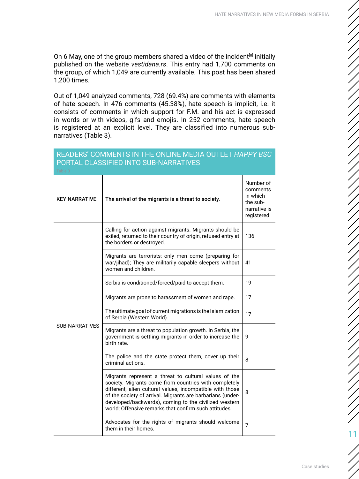On 6 May, one of the group members shared a video of the incident<sup>[8]</sup> initially published on the website *vestidana.rs*. This entry had 1,700 comments on the group, of which 1,049 are currently available. This post has been shared 1,200 times.

Out of 1,049 analyzed comments, 728 (69.4%) are comments with elements of hate speech. In 476 comments (45.38%), hate speech is implicit, i.e. it consists of comments in which support for F.M. and his act is expressed in words or with videos, gifs and emojis. In 252 comments, hate speech is registered at an explicit level. They are classified into numerous subnarratives (Table 3).

| PORTAL CLASSIFIED INTO SUB-NARRATIVES<br>Table 3 |                                                                                                                                                                                                                                                                                                                                                             |                                                                             |
|--------------------------------------------------|-------------------------------------------------------------------------------------------------------------------------------------------------------------------------------------------------------------------------------------------------------------------------------------------------------------------------------------------------------------|-----------------------------------------------------------------------------|
| <b>KEY NARRATIVE</b>                             | The arrival of the migrants is a threat to society.                                                                                                                                                                                                                                                                                                         | Number of<br>comments<br>in which<br>the sub-<br>narrative is<br>registered |
|                                                  | Calling for action against migrants. Migrants should be<br>exiled, returned to their country of origin, refused entry at<br>the borders or destroyed.                                                                                                                                                                                                       | 136                                                                         |
|                                                  | Migrants are terrorists; only men come (preparing for<br>war/jihad); They are militarily capable sleepers without<br>women and children.                                                                                                                                                                                                                    | 41                                                                          |
|                                                  | Serbia is conditioned/forced/paid to accept them.                                                                                                                                                                                                                                                                                                           | 19                                                                          |
|                                                  | Migrants are prone to harassment of women and rape.                                                                                                                                                                                                                                                                                                         | 17                                                                          |
|                                                  | The ultimate goal of current migrations is the Islamization<br>of Serbia (Western World).                                                                                                                                                                                                                                                                   | 17                                                                          |
| <b>SUB-NARRATIVES</b>                            | Migrants are a threat to population growth. In Serbia, the<br>government is settling migrants in order to increase the<br>birth rate.                                                                                                                                                                                                                       | 9                                                                           |
|                                                  | The police and the state protect them, cover up their<br>criminal actions.                                                                                                                                                                                                                                                                                  | 8                                                                           |
|                                                  | Migrants represent a threat to cultural values of the<br>society. Migrants come from countries with completely<br>different, alien cultural values, incompatible with those<br>of the society of arrival. Migrants are barbarians (under-<br>developed/backwards), coming to the civilized western<br>world; Offensive remarks that confirm such attitudes. | 8                                                                           |
|                                                  | Advocates for the rights of migrants should welcome<br>them in their homes.                                                                                                                                                                                                                                                                                 | $\overline{7}$                                                              |

## READERS' COMMENTS IN THE ONLINE MEDIA OUTLET *HAPPY BSC* PORTAL CLASSIFIED INTO SUB-NARRATIVES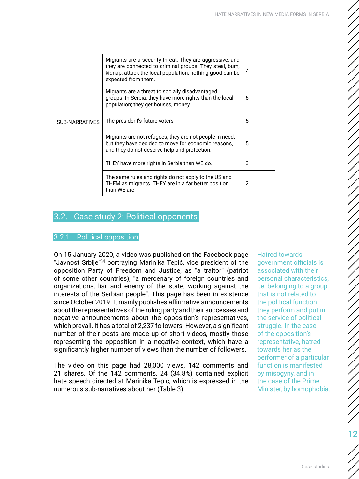<span id="page-11-0"></span>

| <b>SUB-NARRATIVES</b> | Migrants are a security threat. They are aggressive, and<br>they are connected to criminal groups. They steal, burn,<br>kidnap, attack the local population; nothing good can be<br>expected from them. | $\overline{7}$ |
|-----------------------|---------------------------------------------------------------------------------------------------------------------------------------------------------------------------------------------------------|----------------|
|                       | Migrants are a threat to socially disadvantaged<br>groups. In Serbia, they have more rights than the local<br>population; they get houses, money.                                                       | 6              |
|                       | The president's future voters                                                                                                                                                                           | 5              |
|                       | Migrants are not refugees, they are not people in need,<br>but they have decided to move for economic reasons,<br>and they do not deserve help and protection.                                          | 5              |
|                       | THEY have more rights in Serbia than WE do.                                                                                                                                                             | 3              |
|                       | The same rules and rights do not apply to the US and<br>THEM as migrants. THEY are in a far better position<br>than WE are.                                                                             | 2              |
|                       |                                                                                                                                                                                                         |                |

## 3.2. Case study 2: Political opponents

#### 3.2.1. Political opposition

On 15 January 2020, a video was published on the Facebook page "Javnost Srbije"<sup>[8]</sup> portraying Marinika Tepić, vice president of the opposition Party of Freedom and Justice, as "a traitor" (patriot of some other countries), "a mercenary of foreign countries and organizations, liar and enemy of the state, working against the interests of the Serbian people". This page has been in existence since October 2019. It mainly publishes affirmative announcements about the representatives of the ruling party and their successes and negative announcements about the opposition's representatives, which prevail. It has a total of 2,237 followers. However, a significant number of their posts are made up of short videos, mostly those representing the opposition in a negative context, which have a significantly higher number of views than the number of followers.

The video on this page had 28,000 views, 142 comments and 21 shares. Of the 142 comments, 24 (34.8%) contained explicit hate speech directed at Marinika Tepić, which is expressed in the numerous sub-narratives about her (Table 3).

Hatred towards government officials is associated with their personal characteristics, i.e. belonging to a group that is not related to the political function they perform and put in the service of political struggle. In the case of the opposition's representative, hatred towards her as the performer of a particular function is manifested by misogyny, and in the case of the Prime Minister, by homophobia.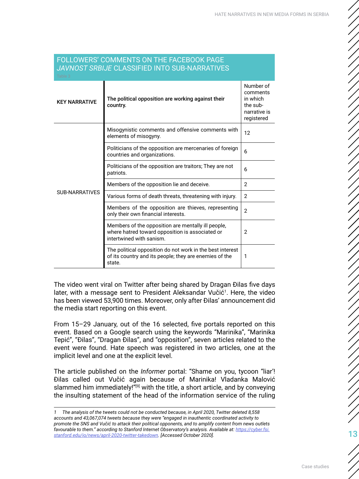| JAVNOST SRBIJE CLASSIFIED INTO SUB-NARRATIVES<br>Table 3 |                                                                                                                                   |                                                                             |
|----------------------------------------------------------|-----------------------------------------------------------------------------------------------------------------------------------|-----------------------------------------------------------------------------|
| <b>KEY NARRATIVE</b>                                     | The political opposition are working against their<br>country.                                                                    | Number of<br>comments<br>in which<br>the sub-<br>narrative is<br>registered |
|                                                          | Misogynistic comments and offensive comments with<br>elements of misogyny.                                                        | 12                                                                          |
|                                                          | Politicians of the opposition are mercenaries of foreign<br>countries and organizations.                                          | 6                                                                           |
|                                                          | Politicians of the opposition are traitors; They are not<br>patriots.                                                             | 6                                                                           |
|                                                          | Members of the opposition lie and deceive.                                                                                        | $\overline{2}$                                                              |
| <b>SUB-NARRATIVES</b>                                    | Various forms of death threats, threatening with injury.                                                                          | $\overline{2}$                                                              |
|                                                          | Members of the opposition are thieves, representing<br>only their own financial interests.                                        | $\overline{2}$                                                              |
|                                                          | Members of the opposition are mentally ill people,<br>where hatred toward opposition is associated or<br>intertwined with sanism. | $\overline{2}$                                                              |
|                                                          | The political opposition do not work in the best interest<br>of its country and its people; they are enemies of the<br>state.     | 1                                                                           |

# FOLLOWERS' COMMENTS ON THE FACEBOOK PAGE

The video went viral on Twitter after being shared by Dragan Đilas five days later, with a message sent to President Aleksandar Vučić<sup>1</sup>. Here, the video has been viewed 53,900 times. Moreover, only after Đilas' announcement did the media start reporting on this event.

From 15–29 January, out of the 16 selected, five portals reported on this event. Based on a Google search using the keywords "Marinika", "Marinika Tepić", "Đilas", "Dragan Đilas", and "opposition", seven articles related to the event were found. Hate speech was registered in two articles, one at the implicit level and one at the explicit level.

The article published on the *Informer* portal: "Shame on you, tycoon ''liar'! Đilas called out Vučić again because of Marinika! Vladanka Malović slammed him immediately!"<sup>[9]</sup> with the title, a short article, and by conveying the insulting statement of the head of the information service of the ruling

*<sup>1</sup> The analysis of the tweets could not be conducted because, in April 2020, Twitter deleted 8,558 accounts and 43,067,074 tweets because they were "engaged in inauthentic coordinated activity to promote the SNS and Vučić to attack their political opponents, and to amplify content from news outlets*  favourable to them." according to Stanford Internet Observatory's analysis. Available at: [https://cyber.fsi.](https://cyber.fsi.stanford.edu/io/news/april-2020-twitter-takedown) *[stanford.edu/io/news/april-2020-twitter-takedown](https://cyber.fsi.stanford.edu/io/news/april-2020-twitter-takedown). [Accessed October 2020].*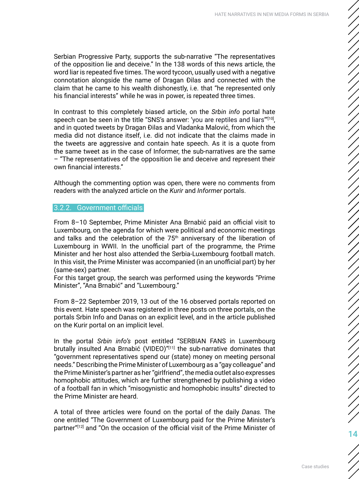<span id="page-13-0"></span>Serbian Progressive Party, supports the sub-narrative "The representatives of the opposition lie and deceive." In the 138 words of this news article, the word liar is repeated five times. The word tycoon, usually used with a negative connotation alongside the name of Dragan Đilas and connected with the claim that he came to his wealth dishonestly, i.e. that "he represented only his financial interests" while he was in power, is repeated three times.

In contrast to this completely biased article, on the *Srbin info* portal hate speech can be seen in the title "SNS's answer: 'you are reptiles and liars'"[10], and in quoted tweets by Dragan Đilas and Vladanka Malović, from which the media did not distance itself, i.e. did not indicate that the claims made in the tweets are aggressive and contain hate speech. As it is a quote from the same tweet as in the case of Informer, the sub-narratives are the same – "The representatives of the opposition lie and deceive and represent their own financial interests."

Although the commenting option was open, there were no comments from readers with the analyzed article on the *Kurir* and *Informer* portals.

#### 3.2.2. Government officials

From 8–10 September, Prime Minister Ana Brnabić paid an official visit to Luxembourg, on the agenda for which were political and economic meetings and talks and the celebration of the  $75<sup>th</sup>$  anniversary of the liberation of Luxembourg in WWII. In the unofficial part of the programme, the Prime Minister and her host also attended the Serbia-Luxembourg football match. In this visit, the Prime Minister was accompanied (in an unofficial part) by her (same-sex) partner.

For this target group, the search was performed using the keywords "Prime Minister", "Ana Brnabić" and "Luxembourg."

From 8–22 September 2019, 13 out of the 16 observed portals reported on this event. Hate speech was registered in three posts on three portals, on the portals Srbin Info and Danas on an explicit level, and in the article published on the Kurir portal on an implicit level.

In the portal *Srbin info's* post entitled "SERBIAN FANS in Luxembourg brutally insulted Ana Brnabić (VIDEO)"[11] the sub-narrative dominates that "government representatives spend our (state) money on meeting personal needs." Describing the Prime Minister of Luxembourg as a "gay colleague" and the Prime Minister's partner as her "girlfriend", the media outlet also expresses homophobic attitudes, which are further strengthened by publishing a video of a football fan in which "misogynistic and homophobic insults" directed to the Prime Minister are heard.

A total of three articles were found on the portal of the daily *Danas.* The one entitled "The Government of Luxembourg paid for the Prime Minister's partner"<sup>[12]</sup> and "On the occasion of the official visit of the Prime Minister of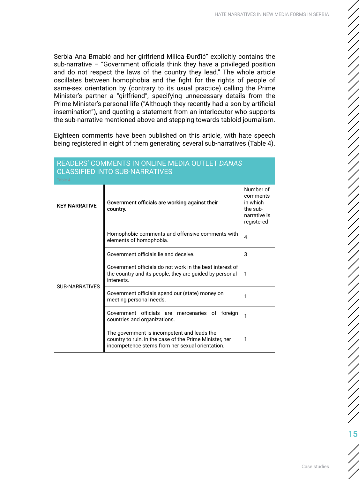Serbia Ana Brnabić and her girlfriend Milica Đurđić" explicitly contains the sub-narrative – "Government officials think they have a privileged position and do not respect the laws of the country they lead." The whole article oscillates between homophobia and the fight for the rights of people of same-sex orientation by (contrary to its usual practice) calling the Prime Minister's partner a "girlfriend", specifying unnecessary details from the Prime Minister's personal life ("Although they recently had a son by artificial insemination"), and quoting a statement from an interlocutor who supports the sub-narrative mentioned above and stepping towards tabloid journalism.

Eighteen comments have been published on this article, with hate speech being registered in eight of them generating several sub-narratives (Table 4).

| Table 4               |                                                                                                                                                           |                                                                             |
|-----------------------|-----------------------------------------------------------------------------------------------------------------------------------------------------------|-----------------------------------------------------------------------------|
| <b>KEY NARRATIVE</b>  | Government officials are working against their<br>country.                                                                                                | Number of<br>comments<br>in which<br>the sub-<br>narrative is<br>registered |
|                       | Homophobic comments and offensive comments with<br>elements of homophobia.                                                                                | $\overline{4}$                                                              |
|                       | Government officials lie and deceive.                                                                                                                     | 3                                                                           |
| <b>SUB-NARRATIVES</b> | Government officials do not work in the best interest of<br>the country and its people; they are guided by personal<br>interests.                         | 1                                                                           |
|                       | Government officials spend our (state) money on<br>meeting personal needs.                                                                                | 1                                                                           |
|                       | Government officials are mercenaries of<br>foreian<br>countries and organizations.                                                                        | 1                                                                           |
|                       | The government is incompetent and leads the<br>country to ruin, in the case of the Prime Minister, her<br>incompetence stems from her sexual orientation. | 1                                                                           |

#### READERS' COMMENTS IN ONLINE MEDIA OUTLET *DANAS* CLASSIFIED INTO SUB-NARRATIVES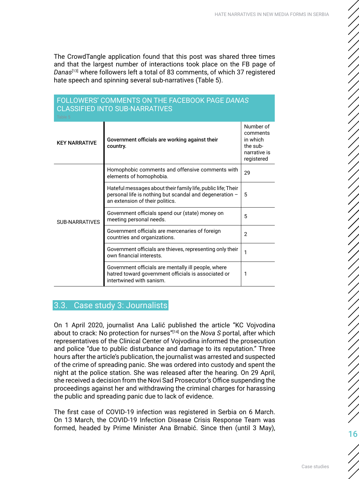<span id="page-15-0"></span>The CrowdTangle application found that this post was shared three times and that the largest number of interactions took place on the FB page of *Danas*[13] where followers left a total of 83 comments, of which 37 registered hate speech and spinning several sub-narratives (Table 5).

| FULLUWERS CUMMENTS UN THE FACEDUUR PAGE <i>DANAS</i><br><b>CLASSIFIED INTO SUB-NARRATIVES</b><br>Table 5 |                                                                                                                                                            |                                                                             |  |
|----------------------------------------------------------------------------------------------------------|------------------------------------------------------------------------------------------------------------------------------------------------------------|-----------------------------------------------------------------------------|--|
| <b>KEY NARRATIVE</b>                                                                                     | Government officials are working against their<br>country.                                                                                                 | Number of<br>comments<br>in which<br>the sub-<br>narrative is<br>registered |  |
|                                                                                                          | Homophobic comments and offensive comments with<br>elements of homophobia.                                                                                 | 29                                                                          |  |
|                                                                                                          | Hateful messages about their family life, public life; Their<br>personal life is nothing but scandal and degeneration -<br>an extension of their politics. | 5                                                                           |  |
| <b>SUB-NARRATIVES</b>                                                                                    | Government officials spend our (state) money on<br>meeting personal needs.                                                                                 | 5                                                                           |  |
|                                                                                                          | Government officials are mercenaries of foreign<br>countries and organizations.                                                                            | $\mathfrak{p}$                                                              |  |
|                                                                                                          | Government officials are thieves, representing only their<br>own financial interests.                                                                      | 1                                                                           |  |
|                                                                                                          | Government officials are mentally ill people, where<br>hatred toward government officials is associated or<br>intertwined with sanism.                     | 1                                                                           |  |

# FOLLOWERS' COMMENTS ON THE FACEBOOK PAGE *DANAS*

### 3.3. Case study 3: Journalists

On 1 April 2020, journalist Ana Lalić published the article "KC Vojvodina about to crack: No protection for nurses"[14] on the *Nova S* portal, after which representatives of the Clinical Center of Vojvodina informed the prosecution and police "due to public disturbance and damage to its reputation." Three hours after the article's publication, the journalist was arrested and suspected of the crime of spreading panic. She was ordered into custody and spent the night at the police station. She was released after the hearing. On 29 April, she received a decision from the Novi Sad Prosecutor's Office suspending the proceedings against her and withdrawing the criminal charges for harassing the public and spreading panic due to lack of evidence.

The first case of COVID-19 infection was registered in Serbia on 6 March. On 13 March, the COVID-19 Infection Disease Crisis Response Team was formed, headed by Prime Minister Ana Brnabić. Since then (until 3 May),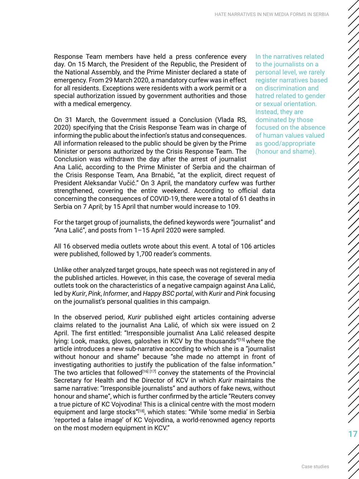Response Team members have held a press conference every day. On 15 March, the President of the Republic, the President of the National Assembly, and the Prime Minister declared a state of emergency. From 29 March 2020, a mandatory curfew was in effect for all residents. Exceptions were residents with a work permit or a special authorization issued by government authorities and those with a medical emergency.

On 31 March, the Government issued a Conclusion (Vlada RS, 2020) specifying that the Crisis Response Team was in charge of informing the public about the infection's status and consequences. All information released to the public should be given by the Prime Minister or persons authorized by the Crisis Response Team. The Conclusion was withdrawn the day after the arrest of journalist Ana Lalić, according to the Prime Minister of Serbia and the chairman of the Crisis Response Team, Ana Brnabić, "at the explicit, direct request of President Aleksandar Vučić." On 3 April, the mandatory curfew was further strengthened, covering the entire weekend. According to official data

Serbia on 7 April; by 15 April that number would increase to 109.

In the narratives related to the journalists on a personal level, we rarely register narratives based on discrimination and hatred related to gender or sexual orientation. Instead, they are dominated by those focused on the absence of human values valued as good/appropriate (honour and shame).

For the target group of journalists, the defined keywords were "journalist" and "Ana Lalić", and posts from 1–15 April 2020 were sampled.

concerning the consequences of COVID-19, there were a total of 61 deaths in

All 16 observed media outlets wrote about this event. A total of 106 articles were published, followed by 1,700 reader's comments.

Unlike other analyzed target groups, hate speech was not registered in any of the published articles. However, in this case, the coverage of several media outlets took on the characteristics of a negative campaign against Ana Lalić, led by *Kurir*, *Pink*, *Informer*, and *Happy BSC portal*, with *Kurir* and *Pink* focusing on the journalist's personal qualities in this campaign.

In the observed period, *Kurir* published eight articles containing adverse claims related to the journalist Ana Lalić, of which six were issued on 2 April. The first entitled: "Irresponsible journalist Ana Lalić released despite lying: Look, masks, gloves, galoshes in KCV by the thousands"[15] where the article introduces a new sub-narrative according to which she is a "journalist without honour and shame" because "she made no attempt in front of investigating authorities to justify the publication of the false information." The two articles that followed<sup>[16] [17]</sup> convey the statements of the Provincial Secretary for Health and the Director of KCV in which *Kurir* maintains the same narrative: "Irresponsible journalists" and authors of fake news, without honour and shame", which is further confirmed by the article "Reuters convey a true picture of KC Vojvodina! This is a clinical centre with the most modern equipment and large stocks"<sup>[18]</sup>, which states: "While 'some media' in Serbia 'reported a false image' of KC Vojvodina, a world-renowned agency reports on the most modern equipment in KCV."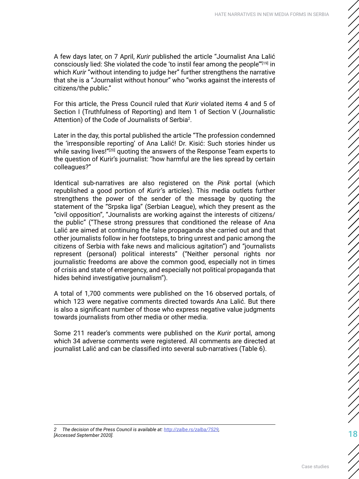A few days later, on 7 April, *Kurir* published the article "Journalist Ana Lalić consciously lied: She violated the code 'to instil fear among the people"<sup>[19]</sup> in which *Kurir* "without intending to judge her" further strengthens the narrative that she is a "Journalist without honour" who "works against the interests of citizens/the public."

For this article, the Press Council ruled that *Kurir* violated items 4 and 5 of Section I (Truthfulness of Reporting) and Item 1 of Section V (Journalistic Attention) of the Code of Journalists of Serbia<sup>2</sup>.

Later in the day, this portal published the article "The profession condemned the 'irresponsible reporting' of Ana Lalić! Dr. Kisić: Such stories hinder us while saving lives!"<sup>[20]</sup> quoting the answers of the Response Team experts to the question of Kurir's journalist: "how harmful are the lies spread by certain colleagues?"

Identical sub-narratives are also registered on the *Pink* portal (which republished a good portion of *Kurir'*s articles). This media outlets further strengthens the power of the sender of the message by quoting the statement of the "Srpska liga" (Serbian League), which they present as the "civil opposition", "Journalists are working against the interests of citizens/ the public" ("These strong pressures that conditioned the release of Ana Lalić are aimed at continuing the false propaganda she carried out and that other journalists follow in her footsteps, to bring unrest and panic among the citizens of Serbia with fake news and malicious agitation") and "journalists represent (personal) political interests" ("Neither personal rights nor journalistic freedoms are above the common good, especially not in times of crisis and state of emergency, and especially not political propaganda that hides behind investigative journalism").

A total of 1,700 comments were published on the 16 observed portals, of which 123 were negative comments directed towards Ana Lalić. But there is also a significant number of those who express negative value judgments towards journalists from other media or other media.

Some 211 reader's comments were published on the *Kurir* portal, among which 34 adverse comments were registered. All comments are directed at journalist Lalić and can be classified into several sub-narratives (Table 6).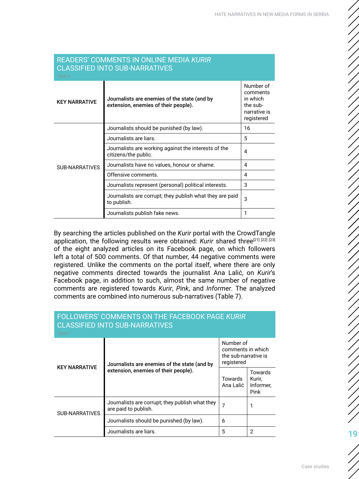| <b>READERS' COMMENTS IN ONLINE MEDIA KURIR</b><br><b>CLASSIFIED INTO SUB-NARRATIVES</b><br>Table 6 |                                                                                      |                                                                             |
|----------------------------------------------------------------------------------------------------|--------------------------------------------------------------------------------------|-----------------------------------------------------------------------------|
| <b>KEY NARRATIVE</b>                                                                               | Journalists are enemies of the state (and by<br>extension, enemies of their people). | Number of<br>comments<br>in which<br>the sub-<br>narrative is<br>registered |
|                                                                                                    | Journalists should be punished (by law).                                             | 16                                                                          |
|                                                                                                    | Journalists are liars.                                                               | 5                                                                           |
|                                                                                                    | Journalists are working against the interests of the<br>citizens/the public.         | 4                                                                           |
| <b>SUB-NARRATIVES</b>                                                                              | Journalists have no values, honour or shame.                                         | 4                                                                           |
|                                                                                                    | Offensive comments.                                                                  | 4                                                                           |
|                                                                                                    | Journalists represent (personal) political interests.                                | 3                                                                           |
|                                                                                                    | Journalists are corrupt; they publish what they are paid<br>to publish.              | 3                                                                           |
|                                                                                                    | Journalists publish fake news.                                                       | 1                                                                           |

By searching the articles published on the *Kurir* portal with the CrowdTangle application, the following results were obtained: Kurir shared three<sup>[21] [22] [23]</sup> of the eight analyzed articles on its Facebook page, on which followers left a total of 500 comments. Of that number, 44 negative comments were registered. Unlike the comments on the portal itself, where there are only negative comments directed towards the journalist Ana Lalić, on *Kurir*'s Facebook page, in addition to such, almost the same number of negative comments are registered towards *Kurir*, *Pink*, and *Informer*. The analyzed comments are combined into numerous sub-narratives (Table 7).

| FOLLOWERS' COMMENTS ON THE FACEBOOK PAGE KURIR<br><b>CLASSIFIED INTO SUB-NARRATIVES</b><br>Table 7 |                                                                                      |                                                                      |                                        |  |  |
|----------------------------------------------------------------------------------------------------|--------------------------------------------------------------------------------------|----------------------------------------------------------------------|----------------------------------------|--|--|
| <b>KEY NARRATIVE</b>                                                                               | Journalists are enemies of the state (and by<br>extension, enemies of their people). | Number of<br>comments in which<br>the sub-narrative is<br>registered |                                        |  |  |
|                                                                                                    |                                                                                      | Towards<br>Ana Lalić                                                 | Towards<br>Kurir,<br>Informer,<br>Pink |  |  |
| <b>SUB-NARRATIVES</b>                                                                              | Journalists are corrupt; they publish what they<br>are paid to publish.              | 7                                                                    |                                        |  |  |
|                                                                                                    | Journalists should be punished (by law).                                             | 6                                                                    |                                        |  |  |
|                                                                                                    | Journalists are liars.                                                               | 5                                                                    | 2                                      |  |  |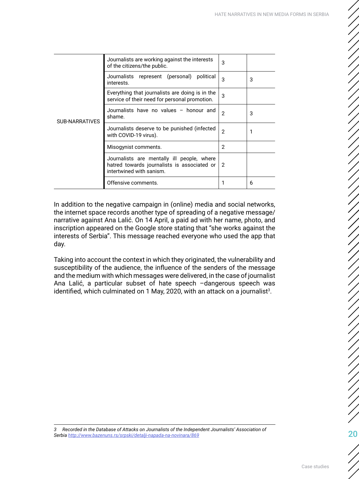| <b>SUB-NARRATIVES</b> | Journalists are working against the interests<br>of the citizens/the public.                                          | 3             |   |
|-----------------------|-----------------------------------------------------------------------------------------------------------------------|---------------|---|
|                       | Journalists represent (personal) political<br>interests.                                                              | 3             | 3 |
|                       | Everything that journalists are doing is in the<br>service of their need for personal promotion.                      | 3             |   |
|                       | Journalists have no values - honour and<br>shame.                                                                     | $\mathcal{P}$ | 3 |
|                       | Journalists deserve to be punished (infected<br>with COVID-19 virus).                                                 | 2             |   |
|                       | Misogynist comments.                                                                                                  | 2             |   |
|                       | Journalists are mentally ill people, where<br>hatred towards journalists is associated or<br>intertwined with sanism. | 2             |   |
|                       | Offensive comments.                                                                                                   |               | 6 |

In addition to the negative campaign in (online) media and social networks, the internet space records another type of spreading of a negative message/ narrative against Ana Lalić. On 14 April, a paid ad with her name, photo, and inscription appeared on the Google store stating that "she works against the interests of Serbia". This message reached everyone who used the app that day.

Taking into account the context in which they originated, the vulnerability and susceptibility of the audience, the influence of the senders of the message and the medium with which messages were delivered, in the case of journalist Ana Lalić, a particular subset of hate speech –dangerous speech was identified, which culminated on 1 May, 2020, with an attack on a journalist $^3$ .

*3 Recorded in the Database of Attacks on Journalists of the Independent Journalists' Association of Serbia <http://www.bazenuns.rs/srpski/detalji-napada-na-novinara/869>*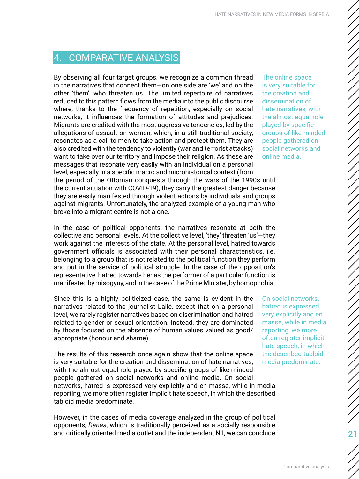# <span id="page-20-0"></span>4. COMPARATIVE ANALYSIS

By observing all four target groups, we recognize a common thread in the narratives that connect them—on one side are 'we' and on the other 'them', who threaten us. The limited repertoire of narratives reduced to this pattern flows from the media into the public discourse where, thanks to the frequency of repetition, especially on social networks, it influences the formation of attitudes and prejudices. Migrants are credited with the most aggressive tendencies, led by the allegations of assault on women, which, in a still traditional society, resonates as a call to men to take action and protect them. They are also credited with the tendency to violently (war and terrorist attacks) want to take over our territory and impose their religion. As these are messages that resonate very easily with an individual on a personal level, especially in a specific macro and microhistorical context (from the period of the Ottoman conquests through the wars of the 1990s until the current situation with COVID-19), they carry the greatest danger because they are easily manifested through violent actions by individuals and groups against migrants. Unfortunately, the analyzed example of a young man who broke into a migrant centre is not alone.

In the case of political opponents, the narratives resonate at both the collective and personal levels. At the collective level, 'they' threaten 'us'—they work against the interests of the state. At the personal level, hatred towards government officials is associated with their personal characteristics, i.e. belonging to a group that is not related to the political function they perform and put in the service of political struggle. In the case of the opposition's representative, hatred towards her as the performer of a particular function is manifested by misogyny, and in the case of the Prime Minister, by homophobia.

Since this is a highly politicized case, the same is evident in the narratives related to the journalist Lalić, except that on a personal level, we rarely register narratives based on discrimination and hatred related to gender or sexual orientation. Instead, they are dominated by those focused on the absence of human values valued as good/ appropriate (honour and shame).

The results of this research once again show that the online space is very suitable for the creation and dissemination of hate narratives, with the almost equal role played by specific groups of like-minded people gathered on social networks and online media. On social networks, hatred is expressed very explicitly and en masse, while in media reporting, we more often register implicit hate speech, in which the described tabloid media predominate.

However, in the cases of media coverage analyzed in the group of political opponents, *Danas*, which is traditionally perceived as a socially responsible and critically oriented media outlet and the independent N1, we can conclude

The online space is very suitable for the creation and dissemination of hate narratives, with the almost equal role played by specific groups of like-minded people gathered on social networks and online media.

On social networks, hatred is expressed very explicitly and en masse, while in media reporting, we more often register implicit hate speech, in which the described tabloid media predominate.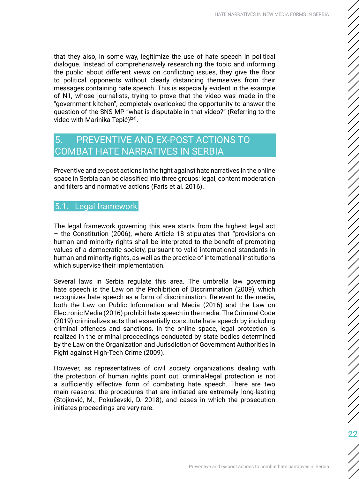<span id="page-21-0"></span>that they also, in some way, legitimize the use of hate speech in political dialogue. Instead of comprehensively researching the topic and informing the public about different views on conflicting issues, they give the floor to political opponents without clearly distancing themselves from their messages containing hate speech. This is especially evident in the example of N1, whose journalists, trying to prove that the video was made in the "government kitchen", completely overlooked the opportunity to answer the question of the SNS MP "what is disputable in that video?" (Referring to the video with Marinika Tepić)<sup>[24]</sup>.

# 5. PREVENTIVE AND EX-POST ACTIONS TO COMBAT HATE NARRATIVES IN SERBIA

Preventive and ex-post actions in the fight against hate narratives in the online space in Serbia can be classified into three groups: legal, content moderation and filters and normative actions (Faris et al. 2016).

### 5.1. Legal framework

The legal framework governing this area starts from the highest legal act – the Constitution (2006), where Article 18 stipulates that **"**provisions on human and minority rights shall be interpreted to the benefit of promoting values of a democratic society, pursuant to valid international standards in human and minority rights, as well as the practice of international institutions which supervise their implementation."

Several laws in Serbia regulate this area. The umbrella law governing hate speech is the Law on the Prohibition of Discrimination (2009), which recognizes hate speech as a form of discrimination. Relevant to the media, both the Law on Public Information and Media (2016) and the Law on Electronic Media (2016) prohibit hate speech in the media. The Criminal Code (2019) criminalizes acts that essentially constitute hate speech by including criminal offences and sanctions. In the online space, legal protection is realized in the criminal proceedings conducted by state bodies determined by the Law on the Organization and Jurisdiction of Government Authorities in Fight against High-Tech Crime (2009).

However, as representatives of civil society organizations dealing with the protection of human rights point out, criminal-legal protection is not a sufficiently effective form of combating hate speech. There are two main reasons: the procedures that are initiated are extremely long-lasting (Stojković, M., Pokuševski, D. 2018), and cases in which the prosecution initiates proceedings are very rare.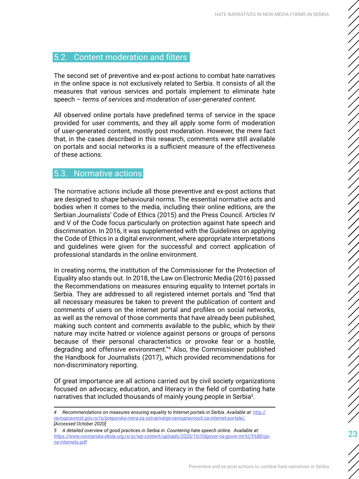#### <span id="page-22-0"></span>5.2. Content moderation and filters

The second set of preventive and ex-post actions to combat hate narratives in the online space is not exclusively related to Serbia. It consists of all the measures that various services and portals implement to eliminate hate speech – *terms of services* and *moderation of user-generated content.*

All observed online portals have predefined terms of service in the space provided for user comments, and they all apply some form of moderation of user-generated content, mostly post moderation. However, the mere fact that, in the cases described in this research, comments were still available on portals and social networks is a sufficient measure of the effectiveness of these actions.

#### 5.3. Normative actions

The normative actions include all those preventive and ex-post actions that are designed to shape behavioural norms. The essential normative acts and bodies when it comes to the media, including their online editions, are the Serbian Journalists' Code of Ethics (2015) and the Press Council. Articles IV and V of the Code focus particularly on protection against hate speech and discrimination. In 2016, it was supplemented with the Guidelines on applying the Code of Ethics in a digital environment, where appropriate interpretations and guidelines were given for the successful and correct application of professional standards in the online environment.

In creating norms, the institution of the Commissioner for the Protection of Equality also stands out. In 2018, the Law on Electronic Media (2016) passed the Recommendations on measures ensuring equality to Internet portals in Serbia. They are addressed to all registered internet portals and "find that all necessary measures be taken to prevent the publication of content and comments of users on the internet portal and profiles on social networks, as well as the removal of those comments that have already been published, making such content and comments available to the public, which by their nature may incite hatred or violence against persons or groups of persons because of their personal characteristics or provoke fear or a hostile, degrading and offensive environment."<sup>4</sup> Also, the Commissioner published the Handbook for Journalists (2017), which provided recommendations for non-discriminatory reporting.

Of great importance are all actions carried out by civil society organizations focused on advocacy, education, and literacy in the field of combating hate narratives that included thousands of mainly young people in Serbia<sup>5</sup>.

*<sup>4</sup> Recommendations on measures ensuring equality to Internet portals in Serbia. Available at: [http://](http://ravnopravnost.gov.rs/rs/preporuka-mera-za-ostvarivanje-ravnopravnosti-za-internet-portale/) [ravnopravnost.gov.rs/rs/preporuka-mera-za-ostvarivanje-ravnopravnosti-za-internet-portale/](http://ravnopravnost.gov.rs/rs/preporuka-mera-za-ostvarivanje-ravnopravnosti-za-internet-portale/), [Accessed October 2020]*

*<sup>5</sup> A detailed overview of good practices in Serbia in: Countering hate speech online. Available at: [https://www.novinarska-skola.org.rs/sr/wp-content/uploads/2020/10/Odgovor-na-govor-mr%C5%BEnje](https://www.novinarska-skola.org.rs/sr/wp-content/uploads/2020/10/Odgovor-na-govor-mr%C5%BEnje-na-in)[na-internetu.pdf](https://www.novinarska-skola.org.rs/sr/wp-content/uploads/2020/10/Odgovor-na-govor-mr%C5%BEnje-na-in)*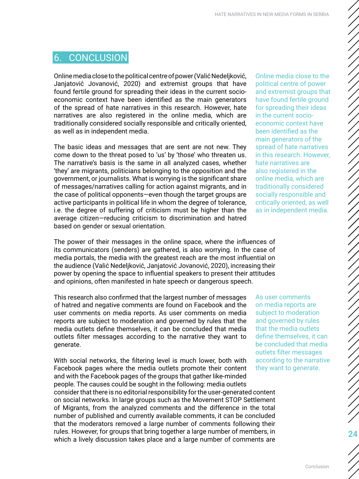# <span id="page-23-0"></span>6. CONCLUSION

Online media close to the political centre of power (Valić Nedeljković, Janjatović Jovanović, 2020) and extremist groups that have found fertile ground for spreading their ideas in the current socioeconomic context have been identified as the main generators of the spread of hate narratives in this research. However, hate narratives are also registered in the online media, which are traditionally considered socially responsible and critically oriented, as well as in independent media.

The basic ideas and messages that are sent are not new. They come down to the threat posed to 'us' by 'those' who threaten us. The narrative's basis is the same in all analyzed cases, whether 'they' are migrants, politicians belonging to the opposition and the government, or journalists. What is worrying is the significant share of messages/narratives calling for action against migrants, and in the case of political opponents—even though the target groups are active participants in political life in whom the degree of tolerance, i.e. the degree of suffering of criticism must be higher than the average citizen—reducing criticism to discrimination and hatred based on gender or sexual orientation.

The power of their messages in the online space, where the influences of its communicators (senders) are gathered, is also worrying. In the case of media portals, the media with the greatest reach are the most influential on the audience (Valić Nedeljković, Janjatović Jovanović, 2020), increasing their power by opening the space to influential speakers to present their attitudes and opinions, often manifested in hate speech or dangerous speech.

This research also confirmed that the largest number of messages of hatred and negative comments are found on Facebook and the user comments on media reports. As user comments on media reports are subject to moderation and governed by rules that the media outlets define themselves, it can be concluded that media outlets filter messages according to the narrative they want to generate.

With social networks, the filtering level is much lower, both with Facebook pages where the media outlets promote their content and with the Facebook pages of the groups that gather like-minded people. The causes could be sought in the following: media outlets consider that there is no editorial responsibility for the user-generated content on social networks. In large groups such as the Movement STOP Settlement of Migrants, from the analyzed comments and the difference in the total number of published and currently available comments, it can be concluded that the moderators removed a large number of comments following their rules. However, for groups that bring together a large number of members, in which a lively discussion takes place and a large number of comments are

Online media close to the political centre of power and extremist groups that have found fertile ground for spreading their ideas in the current socioeconomic context have been identified as the main generators of the spread of hate narratives in this research. However, hate narratives are also registered in the online media, which are traditionally considered socially responsible and critically oriented, as well as in independent media.

As user comments on media reports are subject to moderation and governed by rules that the media outlets define themselves, it can be concluded that media outlets filter messages according to the narrative they want to generate.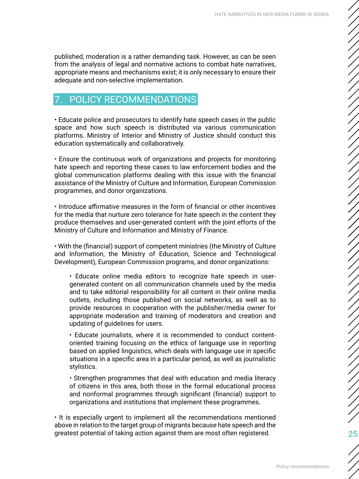<span id="page-24-0"></span>published, moderation is a rather demanding task. However, as can be seen from the analysis of legal and normative actions to combat hate narratives, appropriate means and mechanisms exist; it is only necessary to ensure their adequate and non-selective implementation.

# POLICY RECOMMENDATIONS

• Educate police and prosecutors to identify hate speech cases in the public space and how such speech is distributed via various communication platforms. Ministry of Interior and Ministry of Justice should conduct this education systematically and collaboratively.

• Ensure the continuous work of organizations and projects for monitoring hate speech and reporting these cases to law enforcement bodies and the global communication platforms dealing with this issue with the financial assistance of the Ministry of Culture and Information, European Commission programmes, and donor organizations.

• Introduce affirmative measures in the form of financial or other incentives for the media that nurture zero tolerance for hate speech in the content they produce themselves and user-generated content with the joint efforts of the Ministry of Culture and Information and Ministry of Finance.

• With the (financial) support of competent ministries (the Ministry of Culture and Information, the Ministry of Education, Science and Technological Development), European Commission programs, and donor organizations:

• Educate online media editors to recognize hate speech in usergenerated content on all communication channels used by the media and to take editorial responsibility for all content in their online media outlets, including those published on social networks, as well as to provide resources in cooperation with the publisher/media owner for appropriate moderation and training of moderators and creation and updating of guidelines for users.

• Educate journalists, where it is recommended to conduct contentoriented training focusing on the ethics of language use in reporting based on applied linguistics, which deals with language use in specific situations in a specific area in a particular period, as well as journalistic stylistics.

• Strengthen programmes that deal with education and media literacy of citizens in this area, both those in the formal educational process and nonformal programmes through significant (financial) support to organizations and institutions that implement these programmes.

• It is especially urgent to implement all the recommendations mentioned above in relation to the target group of migrants because hate speech and the greatest potential of taking action against them are most often registered.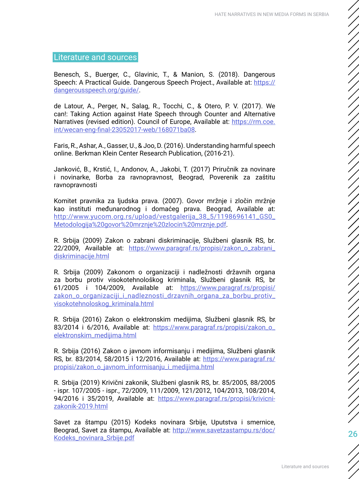#### <span id="page-25-0"></span>Literature and sources

Benesch, S., Buerger, C., Glavinic, T., & Manion, S. (2018). Dangerous Speech: A Practical Guide. Dangerous Speech Project., Available at: [https://](https://dangerousspeech.org/guide/) [dangerousspeech.org/guide/](https://dangerousspeech.org/guide/).

de Latour, A., Perger, N., Salag, R., Tocchi, C., & Otero, P. V. (2017). We can!: Taking Action against Hate Speech through Counter and Alternative Narratives (revised edition). Council of Europe, Available at: [https://rm.coe.](https://rm.coe.int/wecan-eng-final-23052017-web/168071ba08) [int/wecan-eng-final-23052017-web/168071ba08](https://rm.coe.int/wecan-eng-final-23052017-web/168071ba08).

Faris, R., Ashar, A., Gasser, U., & Joo, D. (2016). Understanding harmful speech online. Berkman Klein Center Research Publication, (2016-21).

Janković, B., Krstić, I., Andonov, A., Jakobi, T. (2017) Priručnik za novinare i novinarke, Borba za ravnopravnost, Beograd, Poverenik za zaštitu ravnopravnosti

Komitet pravnika za ljudska prava. (2007). Govor mržnje i zločin mržnje kao instituti međunarodnog i domaćeg prava. Beograd, Available at: [http://www.yucom.org.rs/upload/vestgalerija\\_38\\_5/1198696141\\_GS0\\_](http://www.yucom.org.rs/upload/vestgalerija_38_5/1198696141_GS0_Metodologija%20govor%20mrznje%20zlocin%20mrznje.pdf) [Metodologija%20govor%20mrznje%20zlocin%20mrznje.pdf](http://www.yucom.org.rs/upload/vestgalerija_38_5/1198696141_GS0_Metodologija%20govor%20mrznje%20zlocin%20mrznje.pdf).

R. Srbija (2009) Zakon o zabrani diskriminacije, Službeni glasnik RS, br. 22/2009, Available at: [https://www.paragraf.rs/propisi/zakon\\_o\\_zabrani\\_](https://www.paragraf.rs/propisi/zakon_o_zabrani_diskriminacije.html) [diskriminacije.html](https://www.paragraf.rs/propisi/zakon_o_zabrani_diskriminacije.html)

R. Srbija (2009) Zakonom o organizaciji i nadležnosti državnih organa za borbu protiv visokotehnološkog kriminala, Službeni glasnik RS, br 61/2005 i 104/2009, Available at: [https://www.paragraf.rs/propisi/](https://www.paragraf.rs/propisi/zakon_o_organizaciji_i_nadleznosti_drzavnih_organa_za_borbu_protiv_visokotehnoloskog_kriminala.html) [zakon\\_o\\_organizaciji\\_i\\_nadleznosti\\_drzavnih\\_organa\\_za\\_borbu\\_protiv\\_](https://www.paragraf.rs/propisi/zakon_o_organizaciji_i_nadleznosti_drzavnih_organa_za_borbu_protiv_visokotehnoloskog_kriminala.html) [visokotehnoloskog\\_kriminala.html](https://www.paragraf.rs/propisi/zakon_o_organizaciji_i_nadleznosti_drzavnih_organa_za_borbu_protiv_visokotehnoloskog_kriminala.html)

R. Srbija (2016) Zakon o elektronskim medijima, Službeni glasnik RS, br 83/2014 i 6/2016, Available at: [https://www.paragraf.rs/propisi/zakon\\_o\\_](https://www.paragraf.rs/propisi/zakon_o_elektronskim_medijima.html) [elektronskim\\_medijima.html](https://www.paragraf.rs/propisi/zakon_o_elektronskim_medijima.html)

R. Srbija (2016) Zakon o javnom informisanju i medijima, Službeni glasnik RS, br. 83/2014, 58/2015 i 12/2016, Available at: [https://www.paragraf.rs/](https://www.paragraf.rs/propisi/zakon_o_javnom_informisanju_i_medijima.html) [propisi/zakon\\_o\\_javnom\\_informisanju\\_i\\_medijima.html](https://www.paragraf.rs/propisi/zakon_o_javnom_informisanju_i_medijima.html)

R. Srbija (2019) Krivični zakonik, Službeni glasnik RS, br. 85/2005, 88/2005 - ispr. 107/2005 - ispr., 72/2009, 111/2009, 121/2012, 104/2013, 108/2014, 94/2016 i 35/2019, Available at: [https://www.paragraf.rs/propisi/krivicni](https://www.paragraf.rs/propisi/krivicni-zakonik-2019.html)[zakonik-2019.html](https://www.paragraf.rs/propisi/krivicni-zakonik-2019.html)

Savet za štampu (2015) Kodeks novinara Srbije, Uputstva i smernice, Beograd, Savet za štampu, Available at: [http://www.savetzastampu.rs/doc/](http://www.savetzastampu.rs/doc/Kodeks_novinara_Srbije.pdf) [Kodeks\\_novinara\\_Srbije.pdf](http://www.savetzastampu.rs/doc/Kodeks_novinara_Srbije.pdf)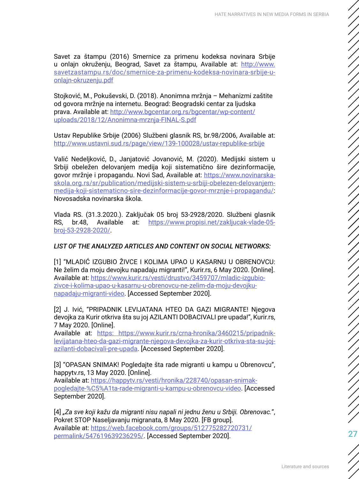Savet za štampu (2016) Smernice za primenu kodeksa novinara Srbije u onlajn okruženju, Beograd, Savet za štampu, Available at: [http://www.](http://www.savetzastampu.rs/doc/smernice-za-primenu-kodeksa-novinara-srbije-u-onlajn-okruzenju.pdf) [savetzastampu.rs/doc/smernice-za-primenu-kodeksa-novinara-srbije-u](http://www.savetzastampu.rs/doc/smernice-za-primenu-kodeksa-novinara-srbije-u-onlajn-okruzenju.pdf)[onlajn-okruzenju.pdf](http://www.savetzastampu.rs/doc/smernice-za-primenu-kodeksa-novinara-srbije-u-onlajn-okruzenju.pdf)

Stojković, M., Pokuševski, D. (2018). Anonimna mržnja – Mehanizmi zaštite od govora mržnje na internetu. Beograd: Beogradski centar za ljudska prava. Available at: [http://www.bgcentar.org.rs/bgcentar/wp-content/](http://www.bgcentar.org.rs/bgcentar/wp-content/uploads/2018/12/Anonimna-mrznja-FINAL-S.pdf) [uploads/2018/12/Anonimna-mrznja-FINAL-S.pdf](http://www.bgcentar.org.rs/bgcentar/wp-content/uploads/2018/12/Anonimna-mrznja-FINAL-S.pdf)

Ustav Republike Srbije (2006) Službeni glasnik RS, br.98/2006, Available at: <http://www.ustavni.sud.rs/page/view/139-100028/ustav-republike-srbije>

Valić Nedeljković, D., Janjatović Jovanović, M. (2020). Medijski sistem u Srbiji obeležen delovanjem medija koji sistematično šire dezinformacije, govor mržnje i propagandu. Novi Sad, Available at: [https://www.novinarska](https://www.novinarska-skola.org.rs/sr/publication/medijski-sistem-u-srbiji-obelezen-delovanjem-medi)[skola.org.rs/sr/publication/medijski-sistem-u-srbiji-obelezen-delovanjem](https://www.novinarska-skola.org.rs/sr/publication/medijski-sistem-u-srbiji-obelezen-delovanjem-medi)[medija-koji-sistematicno-sire-dezinformacije-govor-mrznje-i-propagandu/](https://www.novinarska-skola.org.rs/sr/publication/medijski-sistem-u-srbiji-obelezen-delovanjem-medi): Novosadska novinarska škola.

Vlada RS. (31.3.2020.). Zaključak 05 broj 53-2928/2020. Službeni glasnik RS, br.48, Available at: [https://www.propisi.net/zakljucak-vlade-05](https://www.propisi.net/zakljucak-vlade-05-broj-53-2928-2020/) [broj-53-2928-2020/](https://www.propisi.net/zakljucak-vlade-05-broj-53-2928-2020/).

#### *LIST OF THE ANALYZED ARTICLES AND CONTENT ON SOCIAL NETWORKS:*

[1] "MLADIĆ IZGUBIO ŽIVCE I KOLIMA UPAO U KASARNU U OBRENOVCU: Ne želim da moju devojku napadaju migranti!", Kurir.rs, 6 May 2020. [Online]. Available at: [https://www.kurir.rs/vesti/drustvo/3459707/mladic-izgubio](https://www.kurir.rs/vesti/drustvo/3459707/mladic-izgubio-zivce-i-kolima-upao-u-kasarnu-u-obrenovcu-)[zivce-i-kolima-upao-u-kasarnu-u-obrenovcu-ne-zelim-da-moju-devojku](https://www.kurir.rs/vesti/drustvo/3459707/mladic-izgubio-zivce-i-kolima-upao-u-kasarnu-u-obrenovcu-)[napadaju-migranti-video.](https://www.kurir.rs/vesti/drustvo/3459707/mladic-izgubio-zivce-i-kolima-upao-u-kasarnu-u-obrenovcu-) [Accessed September 2020].

[2] J. Ivić, "PRIPADNIK LEVIJATANA HTEO DA GAZI MIGRANTE! Njegova devojka za Kurir otkriva šta su joj AZILANTI DOBACIVALI pre upada!", Kurir.rs, 7 May 2020. [Online].

Available at: [https: https://www.kurir.rs/crna-hronika/3460215/pripadnik](https: https://www.kurir.rs/crna-hronika/3460215/pripadnik-levijatana-hteo-da-gazi-migrante-njegova-)[levijatana-hteo-da-gazi-migrante-njegova-devojka-za-kurir-otkriva-sta-su-joj](https: https://www.kurir.rs/crna-hronika/3460215/pripadnik-levijatana-hteo-da-gazi-migrante-njegova-)[azilanti-dobacivali-pre-upada.](https: https://www.kurir.rs/crna-hronika/3460215/pripadnik-levijatana-hteo-da-gazi-migrante-njegova-) [Accessed September 2020].

[3] "OPASAN SNIMAK! Pogledajte šta rade migranti u kampu u Obrenovcu", happytv.rs, 13 May 2020. [Online].

Available at: [https://happytv.rs/vesti/hronika/228740/opasan-snimak](https://happytv.rs/vesti/hronika/228740/opasan-snimak-pogledajte-%C5%A1ta-rade-migranti-u-kampu-u-ob)[pogledajte-%C5%A1ta-rade-migranti-u-kampu-u-obrenovcu-video](https://happytv.rs/vesti/hronika/228740/opasan-snimak-pogledajte-%C5%A1ta-rade-migranti-u-kampu-u-ob). [Accessed September 2020].

[4] *"Za sve koji kažu da migranti nisu napali ni jednu ženu u Srbiji. Obrenovac.*", Pokret STOP Naseljavanju migranata, 8 May 2020. [FB group]. Available at: [https://web.facebook.com/groups/512775282720731/](https://web.facebook.com/groups/512775282720731/permalink/547619639236295/) [permalink/547619639236295/](https://web.facebook.com/groups/512775282720731/permalink/547619639236295/). [Accessed September 2020].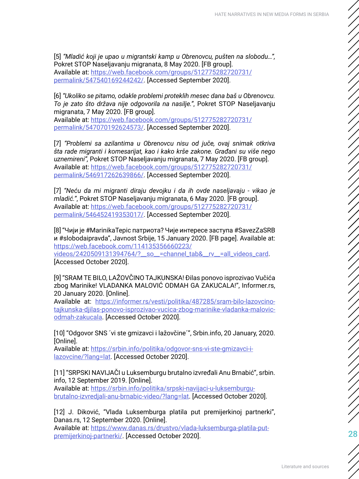[5] *"Mladić koji je upao u migrantski kamp u Obrenovcu, pušten na slobodu…",*  Pokret STOP Naseljavanju migranata, 8 May 2020. [FB group]. Available at: [https://web.facebook.com/groups/512775282720731/](https://web.facebook.com/groups/512775282720731/permalink/547540169244242/) [permalink/547540169244242/](https://web.facebook.com/groups/512775282720731/permalink/547540169244242/). [Accessed September 2020].

[6] *"Ukoliko se pitamo, odakle problemi proteklih mesec dana baš u Obrenovcu. To je zato što država nije odgovorila na nasilje."*, Pokret STOP Naseljavanju migranata, 7 May 2020. [FB group].

Available at: [https://web.facebook.com/groups/512775282720731/](https://web.facebook.com/groups/512775282720731/permalink/547070192624573/) [permalink/547070192624573/](https://web.facebook.com/groups/512775282720731/permalink/547070192624573/). [Accessed September 2020].

[7] *"Problemi sa azilantima u Obrenovcu nisu od juče, ovaj snimak otkriva šta rade migranti i komesarijat, kao i kako krše zakone. Građani su više nego uznemireni",* Pokret STOP Naseljavanju migranata, 7 May 2020. [FB group]. Available at: [https://web.facebook.com/groups/512775282720731/](https://web.facebook.com/groups/512775282720731/permalink/546917262639866/) [permalink/546917262639866/](https://web.facebook.com/groups/512775282720731/permalink/546917262639866/). [Accessed September 2020].

[7] *"Neću da mi migranti diraju devojku i da ih ovde naseljavaju - vikao je mladić."*, Pokret STOP Naseljavanju migranata, 6 May 2020. [FB group]. Available at: [https://web.facebook.com/groups/512775282720731/](https://web.facebook.com/groups/512775282720731/permalink/546452419353017/) [permalink/546452419353017/](https://web.facebook.com/groups/512775282720731/permalink/546452419353017/). [Accessed September 2020].

[8] "Чији је #MarinikaTepic патриота? Чије интересе заступа #SavezZaSRB и #slobodaipravda", Javnost Srbije, 15 January 2020. [FB page]. Available at: [https://web.facebook.com/114135356660223/](https://web.facebook.com/114135356660223/videos/2420509131394764/?__so__=channel_tab&__rv__=all_vide) [videos/2420509131394764/?\\_\\_so\\_\\_=channel\\_tab&\\_\\_rv\\_\\_=all\\_videos\\_card](https://web.facebook.com/114135356660223/videos/2420509131394764/?__so__=channel_tab&__rv__=all_vide).

[Accessed October 2020].

[9] "SRAM TE BILO, LAŽOVČINO TAJKUNSKA! Đilas ponovo isprozivao Vučića zbog Marinike! VLADANKA MALOVIĆ ODMAH GA ZAKUCALA!", Informer.rs, 20 January 2020. [Online].

Available at: [https://informer.rs/vesti/politika/487285/sram-bilo-lazovcino](https://informer.rs/vesti/politika/487285/sram-bilo-lazovcino-tajkunska-djilas-ponovo-isprozivao-vuc)[tajkunska-djilas-ponovo-isprozivao-vucica-zbog-marinike-vladanka-malovic](https://informer.rs/vesti/politika/487285/sram-bilo-lazovcino-tajkunska-djilas-ponovo-isprozivao-vuc)[odmah-zakucala.](https://informer.rs/vesti/politika/487285/sram-bilo-lazovcino-tajkunska-djilas-ponovo-isprozivao-vuc) [Accessed October 2020].

[10] "Odgovor SNS ´vi ste gmizavci i lažovčine´", Srbin.info, 20 January, 2020. [Online].

Available at: [https://srbin.info/politika/odgovor-sns-vi-ste-gmizavci-i](https://srbin.info/politika/odgovor-sns-vi-ste-gmizavci-i-lazovcine/?lang=lat)[lazovcine/?lang=lat.](https://srbin.info/politika/odgovor-sns-vi-ste-gmizavci-i-lazovcine/?lang=lat) [Accessed October 2020].

[11] "SRPSKI NAVIJAČI u Luksemburgu brutalno izvređali Anu Brnabić", srbin. info, 12 September 2019. [Online].

Available at: [https://srbin.info/politika/srpski-navijaci-u-luksemburgu](https://srbin.info/politika/srpski-navijaci-u-luksemburgu-brutalno-izvredjali-anu-brnabic-video/?lan)[brutalno-izvredjali-anu-brnabic-video/?lang=lat.](https://srbin.info/politika/srpski-navijaci-u-luksemburgu-brutalno-izvredjali-anu-brnabic-video/?lan) [Accessed October 2020].

[12] J. Diković, "Vlada Luksemburga platila put premijerkinoj partnerki", Danas.rs, 12 September 2020. [Online].

Available at: [https://www.danas.rs/drustvo/vlada-luksemburga-platila-put](https://www.danas.rs/drustvo/vlada-luksemburga-platila-put-premijerkinoj-partnerki/)[premijerkinoj-partnerki/](https://www.danas.rs/drustvo/vlada-luksemburga-platila-put-premijerkinoj-partnerki/). [Accessed October 2020].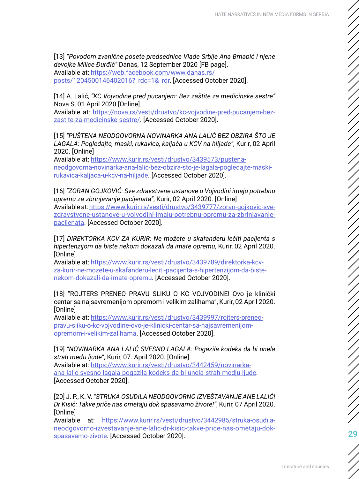[13] *"Povodom zvanične posete predsednice Vlade Srbije Ana Brnabić i njene devojke Milice Đurđić"* Danas, 12 September 2020 [FB page].

Available at: [https://web.facebook.com/www.danas.rs/](https://web.facebook.com/www.danas.rs/posts/1204500146402016?_rdc=1&_rdr)

[posts/1204500146402016?\\_rdc=1&\\_rdr](https://web.facebook.com/www.danas.rs/posts/1204500146402016?_rdc=1&_rdr). [Accessed October 2020].

[14] A. Lalić, *"KC Vojvodine pred pucanjem: Bez zaštite za medicinske sestre"*  Nova S, 01 April 2020 [Online].

Available at: [https://nova.rs/vesti/drustvo/kc-vojvodine-pred-pucanjem-bez](https://nova.rs/vesti/drustvo/kc-vojvodine-pred-pucanjem-bez-zastite-za-medicinske-sestre/)[zastite-za-medicinske-sestre/.](https://nova.rs/vesti/drustvo/kc-vojvodine-pred-pucanjem-bez-zastite-za-medicinske-sestre/) [Accessed October 2020].

[15] *"PUŠTENA NEODGOVORNA NOVINARKA ANA LALIĆ BEZ OBZIRA ŠTO JE LAGALA: Pogledajte, maski, rukavica, kaljača u KCV na hiljade"*, Kurir, 02 April 2020. [Online]

Available at: [https://www.kurir.rs/vesti/drustvo/3439573/pustena](https://www.kurir.rs/vesti/drustvo/3439573/pustena-neodgovorna-novinarka-ana-lalic-bez-obzira-sto-je)[neodgovorna-novinarka-ana-lalic-bez-obzira-sto-je-lagala-pogledajte-maski](https://www.kurir.rs/vesti/drustvo/3439573/pustena-neodgovorna-novinarka-ana-lalic-bez-obzira-sto-je)[rukavica-kaljaca-u-kcv-na-hiljade](https://www.kurir.rs/vesti/drustvo/3439573/pustena-neodgovorna-novinarka-ana-lalic-bez-obzira-sto-je). [Accessed October 2020].

[16] *"ZORAN GOJKOVIĆ: Sve zdravstvene ustanove u Vojvodini imaju potrebnu opremu za zbrinjavanje pacijenata"*, Kurir, 02 April 2020. [Online] Available at: [https://www.kurir.rs/vesti/drustvo/3439777/zoran-gojkovic-sve](https://www.kurir.rs/vesti/drustvo/3439777/zoran-gojkovic-sve-zdravstvene-ustanove-u-vojvodini-imaju)[zdravstvene-ustanove-u-vojvodini-imaju-potrebnu-opremu-za-zbrinjavanje](https://www.kurir.rs/vesti/drustvo/3439777/zoran-gojkovic-sve-zdravstvene-ustanove-u-vojvodini-imaju)[pacijenata](https://www.kurir.rs/vesti/drustvo/3439777/zoran-gojkovic-sve-zdravstvene-ustanove-u-vojvodini-imaju). [Accessed October 2020].

[17] *DIREKTORKA KCV ZA KURIR: Ne možete u skafanderu lečiti pacijenta s hipertenzijom da biste nekom dokazali da imate opremu*, Kurir, 02 April 2020. [Online]

Available at: [https://www.kurir.rs/vesti/drustvo/3439789/direktorka-kcv](https://www.kurir.rs/vesti/drustvo/3439789/direktorka-kcv-za-kurir-ne-mozete-u-skafanderu-leciti-pac)[za-kurir-ne-mozete-u-skafanderu-leciti-pacijenta-s-hipertenzijom-da-biste](https://www.kurir.rs/vesti/drustvo/3439789/direktorka-kcv-za-kurir-ne-mozete-u-skafanderu-leciti-pac)[nekom-dokazali-da-imate-opremu.](https://www.kurir.rs/vesti/drustvo/3439789/direktorka-kcv-za-kurir-ne-mozete-u-skafanderu-leciti-pac) [Accessed October 2020].

[18] "ROJTERS PRENEO PRAVU SLIKU O KC VOJVODINE! Ovo je klinički centar sa najsavremenijom opremom i velikim zalihama", Kurir, 02 April 2020. [Online]

Available at: [https://www.kurir.rs/vesti/drustvo/3439997/rojters-preneo](https://www.kurir.rs/vesti/drustvo/3439997/rojters-preneo-pravu-sliku-o-kc-vojvodine-ovo-je-klinicki)[pravu-sliku-o-kc-vojvodine-ovo-je-klinicki-centar-sa-najsavremenijom](https://www.kurir.rs/vesti/drustvo/3439997/rojters-preneo-pravu-sliku-o-kc-vojvodine-ovo-je-klinicki)[opremom-i-velikim-zalihama.](https://www.kurir.rs/vesti/drustvo/3439997/rojters-preneo-pravu-sliku-o-kc-vojvodine-ovo-je-klinicki) [Accessed October 2020].

[19] *"NOVINARKA ANA LALIĆ SVESNO LAGALA: Pogazila kodeks da bi unela strah među ljude"*, Kurir, 07. April 2020. [Online] Available at: [https://www.kurir.rs/vesti/drustvo/3442459/novinarka](https://www.kurir.rs/vesti/drustvo/3442459/novinarka-ana-lalic-svesno-lagala-pogazila-kodeks-da-bi-u)[ana-lalic-svesno-lagala-pogazila-kodeks-da-bi-unela-strah-medju-ljude](https://www.kurir.rs/vesti/drustvo/3442459/novinarka-ana-lalic-svesno-lagala-pogazila-kodeks-da-bi-u). [Accessed October 2020].

[20] J. P., K. V. *"STRUKA OSUDILA NEODGOVORNO IZVEŠTAVANJE ANE LALIĆ! Dr Kisić: Takve priče nas ometaju dok spasavamo živote!"*, Kurir, 07 April 2020. [Online]

Available at: [https://www.kurir.rs/vesti/drustvo/3442985/struka-osudila](https://www.kurir.rs/vesti/drustvo/3442985/struka-osudila-neodgovorno-izvestavanje-ane-lalic-dr-kisi)[neodgovorno-izvestavanje-ane-lalic-dr-kisic-takve-price-nas-ometaju-dok](https://www.kurir.rs/vesti/drustvo/3442985/struka-osudila-neodgovorno-izvestavanje-ane-lalic-dr-kisi)[spasavamo-zivote.](https://www.kurir.rs/vesti/drustvo/3442985/struka-osudila-neodgovorno-izvestavanje-ane-lalic-dr-kisi) [Accessed October 2020].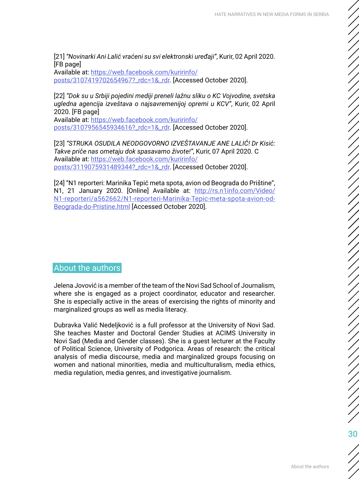<span id="page-29-0"></span>[21] *"Novinarki Ani Lalić vraćeni su svi elektronski uređaji"*, Kurir, 02 April 2020. [FB page]

Available at: [https://web.facebook.com/kuririnfo/](https://web.facebook.com/kuririnfo/posts/3107419702654967?_rdc=1&_rdr) [posts/3107419702654967?\\_rdc=1&\\_rdr](https://web.facebook.com/kuririnfo/posts/3107419702654967?_rdc=1&_rdr). [Accessed October 2020].

[22] *"Dok su u Srbiji pojedini mediji preneli lažnu sliku o KC Vojvodine, svetska ugledna agencija izveštava o najsavremenijoj opremi u KCV"*, Kurir, 02 April 2020. [FB page]

Available at: [https://web.facebook.com/kuririnfo/](https://web.facebook.com/kuririnfo/posts/3107956545934616?_rdc=1&_rdr) [posts/3107956545934616?\\_rdc=1&\\_rdr](https://web.facebook.com/kuririnfo/posts/3107956545934616?_rdc=1&_rdr). [Accessed October 2020].

[23] *"STRUKA OSUDILA NEODGOVORNO IZVEŠTAVANJE ANE LALIĆ! Dr Kisić: Takve priče nas ometaju dok spasavamo živote!"*, Kurir, 07 April 2020. C Available at: [https://web.facebook.com/kuririnfo/](https://web.facebook.com/kuririnfo/posts/3119075931489344?_rdc=1&_rdr) [posts/3119075931489344?\\_rdc=1&\\_rdr](https://web.facebook.com/kuririnfo/posts/3119075931489344?_rdc=1&_rdr). [Accessed October 2020].

[24] "N1 reporteri: Marinika Tepić meta spota, avion od Beograda do Prištine", N1, 21 January 2020. [Online] Available at: [http://rs.n1info.com/Video/](http://rs.n1info.com/Video/N1-reporteri/a562662/N1-reporteri-Marinika-Tepic-meta-spota-avion-od-Beog) [N1-reporteri/a562662/N1-reporteri-Marinika-Tepic-meta-spota-avion-od-](http://rs.n1info.com/Video/N1-reporteri/a562662/N1-reporteri-Marinika-Tepic-meta-spota-avion-od-Beog)[Beograda-do-Pristine.html](http://rs.n1info.com/Video/N1-reporteri/a562662/N1-reporteri-Marinika-Tepic-meta-spota-avion-od-Beog) [Accessed October 2020].

#### About the authors

Jelena Jovović is a member of the team of the Novi Sad School of Journalism, where she is engaged as a project coordinator, educator and researcher. She is especially active in the areas of exercising the rights of minority and marginalized groups as well as media literacy.

Dubravka Valić Nedeljković is a full professor at the University of Novi Sad. She teaches Master and Doctoral Gender Studies at ACIMS University in Novi Sad (Media and Gender classes). She is a guest lecturer at the Faculty of Political Science, University of Podgorica. Areas of research: the critical analysis of media discourse, media and marginalized groups focusing on women and national minorities, media and multiculturalism, media ethics, media regulation, media genres, and investigative journalism.